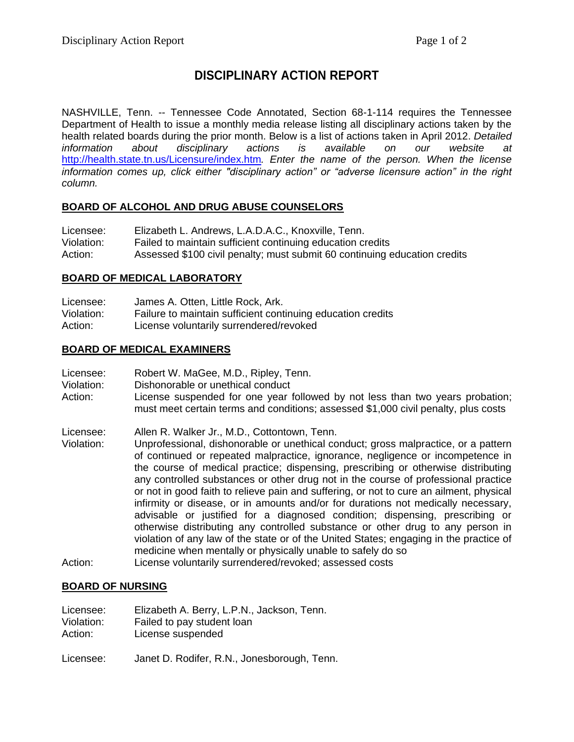# **DISCIPLINARY ACTION REPORT**

NASHVILLE, Tenn. -- Tennessee Code Annotated, Section 68-1-114 requires the Tennessee Department of Health to issue a monthly media release listing all disciplinary actions taken by the health related boards during the prior month. Below is a list of actions taken in April 2012. *Detailed information about disciplinary actions is available on our website at*  <http://health.state.tn.us/Licensure/index.htm>*. Enter the name of the person. When the license information comes up, click either "disciplinary action" or "adverse licensure action" in the right column.*

## **BOARD OF ALCOHOL AND DRUG ABUSE COUNSELORS**

| Licensee:  | Elizabeth L. Andrews, L.A.D.A.C., Knoxville, Tenn.                        |
|------------|---------------------------------------------------------------------------|
| Violation: | Failed to maintain sufficient continuing education credits                |
| Action:    | Assessed \$100 civil penalty; must submit 60 continuing education credits |

## **BOARD OF MEDICAL LABORATORY**

| Licensee:  | James A. Otten, Little Rock, Ark.                           |
|------------|-------------------------------------------------------------|
| Violation: | Failure to maintain sufficient continuing education credits |
| Action:    | License voluntarily surrendered/revoked                     |

## **BOARD OF MEDICAL EXAMINERS**

| Licensee:  | Robert W. MaGee, M.D., Ripley, Tenn.                                                                                                                                |
|------------|---------------------------------------------------------------------------------------------------------------------------------------------------------------------|
| Violation: | Dishonorable or unethical conduct                                                                                                                                   |
| Action:    | License suspended for one year followed by not less than two years probation;<br>must meet certain terms and conditions; assessed \$1,000 civil penalty, plus costs |

- Licensee: Allen R. Walker Jr., M.D., Cottontown, Tenn.
- Violation: Unprofessional, dishonorable or unethical conduct; gross malpractice, or a pattern of continued or repeated malpractice, ignorance, negligence or incompetence in the course of medical practice; dispensing, prescribing or otherwise distributing any controlled substances or other drug not in the course of professional practice or not in good faith to relieve pain and suffering, or not to cure an ailment, physical infirmity or disease, or in amounts and/or for durations not medically necessary, advisable or justified for a diagnosed condition; dispensing, prescribing or otherwise distributing any controlled substance or other drug to any person in violation of any law of the state or of the United States; engaging in the practice of medicine when mentally or physically unable to safely do so Action: License voluntarily surrendered/revoked; assessed costs

## **BOARD OF NURSING**

| Licensee:  | Elizabeth A. Berry, L.P.N., Jackson, Tenn.  |
|------------|---------------------------------------------|
| Violation: | Failed to pay student loan                  |
| Action:    | License suspended                           |
| Licensee:  | Janet D. Rodifer, R.N., Jonesborough, Tenn. |